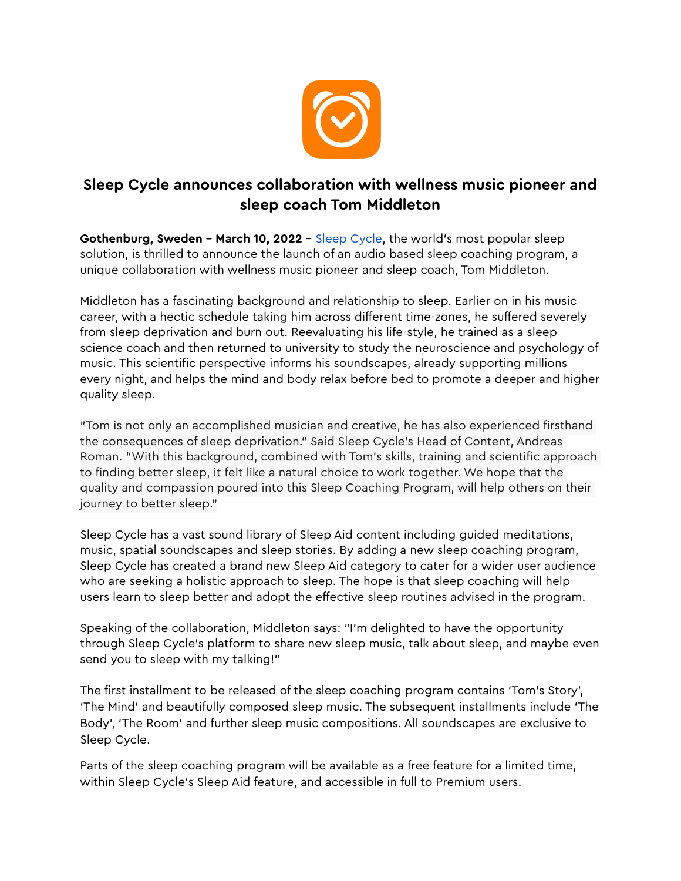

## **Sleep Cycle announces collaboration with wellness music pioneer and sleep coach Tom Middleton**

**Gothenburg, Sweden - March 10, 2022** - [Sleep Cycle,](https://www.sleepcycle.com/) the world's most popular sleep solution, is thrilled to announce the launch of an audio based sleep coaching program, a unique collaboration with wellness music pioneer and sleep coach, Tom Middleton.

Middleton has a fascinating background and relationship to sleep. Earlier on in his music career, with a hectic schedule taking him across different time-zones, he suffered severely from sleep deprivation and burn out. Reevaluating his life-style, he trained as a sleep science coach and then returned to university to study the neuroscience and psychology of music. This scientific perspective informs his soundscapes, already supporting millions every night, and helps the mind and body relax before bed to promote a deeper and higher quality sleep.

"Tom is not only an accomplished musician and creative, he has also experienced firsthand the consequences of sleep deprivation." Said Sleep Cycle's Head of Content, Andreas Roman. "With this background, combined with Tom's skills, training and scientific approach to finding better sleep, it felt like a natural choice to work together. We hope that the quality and compassion poured into this Sleep Coaching Program, will help others on their journey to better sleep."

Sleep Cycle has a vast sound library of Sleep Aid content including guided meditations, music, spatial soundscapes and sleep stories. By adding a new sleep coaching program, Sleep Cycle has created a brand new Sleep Aid category to cater for a wider user audience who are seeking a holistic approach to sleep. The hope is that sleep coaching will help users learn to sleep better and adopt the effective sleep routines advised in the program.

Speaking of the collaboration, Middleton says: "I'm delighted to have the opportunity through Sleep Cycle's platform to share new sleep music, talk about sleep, and maybe even send you to sleep with my talking!"

The first installment to be released of the sleep coaching program contains 'Tom's Story', 'The Mind' and beautifully composed sleep music. The subsequent installments include 'The Body', 'The Room' and further sleep music compositions. All soundscapes are exclusive to Sleep Cycle.

Parts of the sleep coaching program will be available as a free feature for a limited time, within Sleep Cycle's Sleep Aid feature, and accessible in full to Premium users.